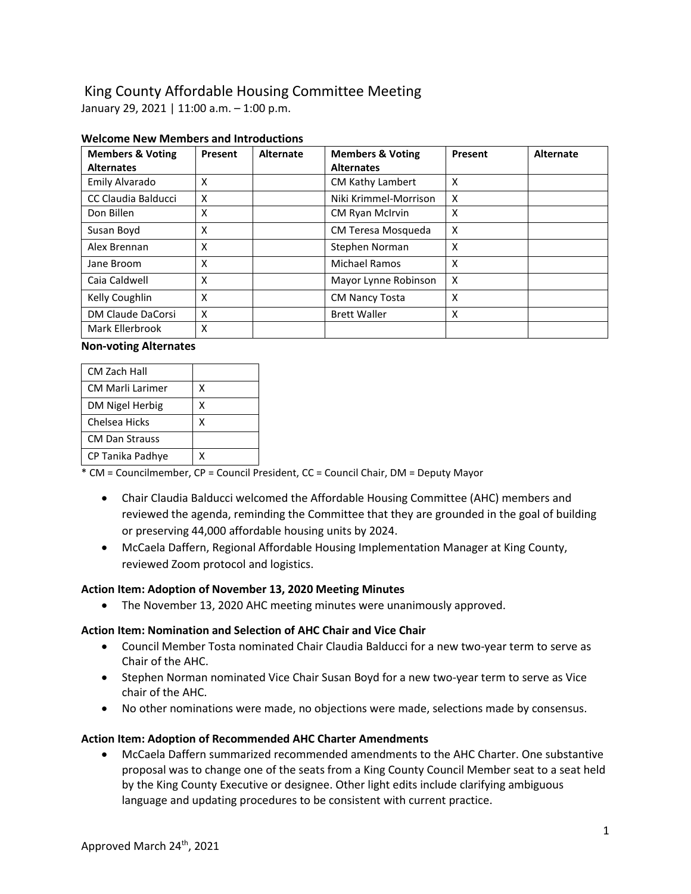# King County Affordable Housing Committee Meeting

January 29, 2021 | 11:00 a.m. – 1:00 p.m.

| <b>Members &amp; Voting</b><br><b>Alternates</b> | Present | <b>Alternate</b> | <b>Members &amp; Voting</b><br><b>Alternates</b> | Present | <b>Alternate</b> |
|--------------------------------------------------|---------|------------------|--------------------------------------------------|---------|------------------|
| Emily Alvarado                                   | X       |                  | CM Kathy Lambert                                 | X       |                  |
| CC Claudia Balducci                              | X       |                  | Niki Krimmel-Morrison                            | X       |                  |
| Don Billen                                       | X       |                  | CM Ryan McIrvin                                  | X       |                  |
| Susan Boyd                                       | X       |                  | CM Teresa Mosqueda                               | X       |                  |
| Alex Brennan                                     | X       |                  | Stephen Norman                                   | X       |                  |
| Jane Broom                                       | X       |                  | <b>Michael Ramos</b>                             | X       |                  |
| Caia Caldwell                                    | X       |                  | Mayor Lynne Robinson                             | X       |                  |
| Kelly Coughlin                                   | X       |                  | <b>CM Nancy Tosta</b>                            | X       |                  |
| DM Claude DaCorsi                                | X       |                  | <b>Brett Waller</b>                              | x       |                  |
| Mark Ellerbrook                                  | X       |                  |                                                  |         |                  |

## **Welcome New Members and Introductions**

#### **Non-voting Alternates**

| CM Zach Hall            |   |
|-------------------------|---|
| <b>CM Marli Larimer</b> | Χ |
| DM Nigel Herbig         | χ |
| Chelsea Hicks           | χ |
| <b>CM Dan Strauss</b>   |   |
| CP Tanika Padhye        | x |

\* CM = Councilmember, CP = Council President, CC = Council Chair, DM = Deputy Mayor

- Chair Claudia Balducci welcomed the Affordable Housing Committee (AHC) members and reviewed the agenda, reminding the Committee that they are grounded in the goal of building or preserving 44,000 affordable housing units by 2024.
- McCaela Daffern, Regional Affordable Housing Implementation Manager at King County, reviewed Zoom protocol and logistics.

## **Action Item: Adoption of November 13, 2020 Meeting Minutes**

• The November 13, 2020 AHC meeting minutes were unanimously approved.

# **Action Item: Nomination and Selection of AHC Chair and Vice Chair**

- Council Member Tosta nominated Chair Claudia Balducci for a new two-year term to serve as Chair of the AHC.
- Stephen Norman nominated Vice Chair Susan Boyd for a new two-year term to serve as Vice chair of the AHC.
- No other nominations were made, no objections were made, selections made by consensus.

## **Action Item: Adoption of Recommended AHC Charter Amendments**

• McCaela Daffern summarized recommended amendments to the AHC Charter. One substantive proposal was to change one of the seats from a King County Council Member seat to a seat held by the King County Executive or designee. Other light edits include clarifying ambiguous language and updating procedures to be consistent with current practice.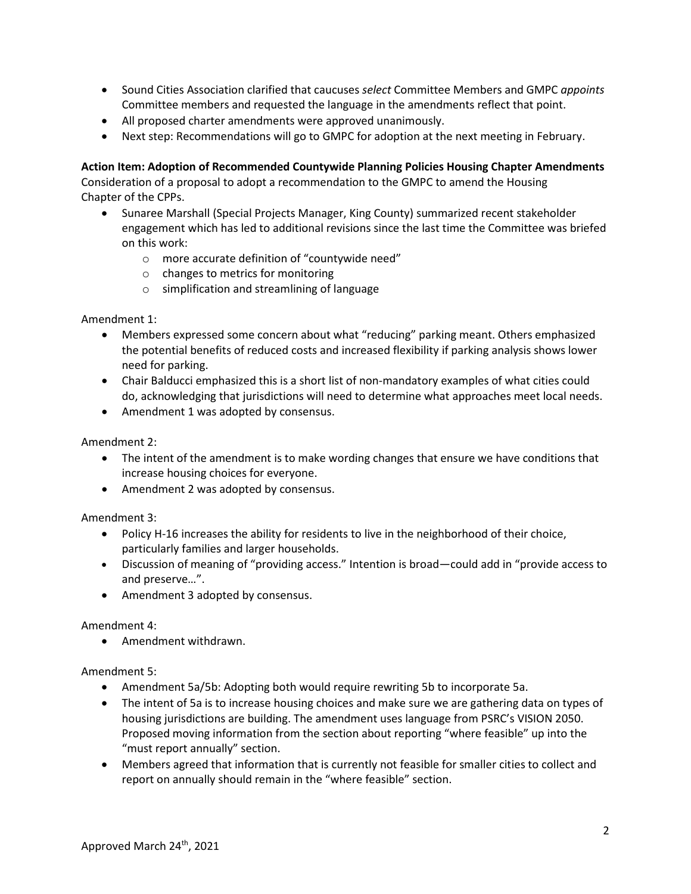- Sound Cities Association clarified that caucuses *select* Committee Members and GMPC *appoints* Committee members and requested the language in the amendments reflect that point.
- All proposed charter amendments were approved unanimously.
- Next step: Recommendations will go to GMPC for adoption at the next meeting in February.

## **Action Item: Adoption of Recommended Countywide Planning Policies Housing Chapter Amendments**

Consideration of a proposal to adopt a recommendation to the GMPC to amend the Housing Chapter of the CPPs.

- Sunaree Marshall (Special Projects Manager, King County) summarized recent stakeholder engagement which has led to additional revisions since the last time the Committee was briefed on this work:
	- o more accurate definition of "countywide need"
	- o changes to metrics for monitoring
	- o simplification and streamlining of language

Amendment 1:

- Members expressed some concern about what "reducing" parking meant. Others emphasized the potential benefits of reduced costs and increased flexibility if parking analysis shows lower need for parking.
- Chair Balducci emphasized this is a short list of non-mandatory examples of what cities could do, acknowledging that jurisdictions will need to determine what approaches meet local needs.
- Amendment 1 was adopted by consensus.

Amendment 2:

- The intent of the amendment is to make wording changes that ensure we have conditions that increase housing choices for everyone.
- Amendment 2 was adopted by consensus.

Amendment 3:

- Policy H-16 increases the ability for residents to live in the neighborhood of their choice, particularly families and larger households.
- Discussion of meaning of "providing access." Intention is broad—could add in "provide access to and preserve…".
- Amendment 3 adopted by consensus.

Amendment 4:

• Amendment withdrawn.

Amendment 5:

- Amendment 5a/5b: Adopting both would require rewriting 5b to incorporate 5a.
- The intent of 5a is to increase housing choices and make sure we are gathering data on types of housing jurisdictions are building. The amendment uses language from PSRC's VISION 2050. Proposed moving information from the section about reporting "where feasible" up into the "must report annually" section.
- Members agreed that information that is currently not feasible for smaller cities to collect and report on annually should remain in the "where feasible" section.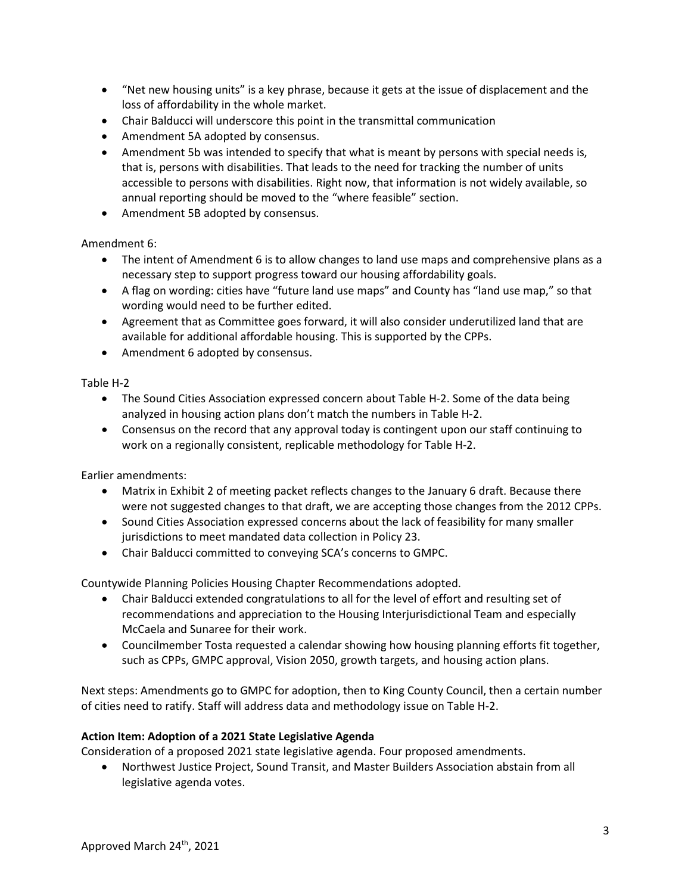- "Net new housing units" is a key phrase, because it gets at the issue of displacement and the loss of affordability in the whole market.
- Chair Balducci will underscore this point in the transmittal communication
- Amendment 5A adopted by consensus.
- Amendment 5b was intended to specify that what is meant by persons with special needs is, that is, persons with disabilities. That leads to the need for tracking the number of units accessible to persons with disabilities. Right now, that information is not widely available, so annual reporting should be moved to the "where feasible" section.
- Amendment 5B adopted by consensus.

## Amendment 6:

- The intent of Amendment 6 is to allow changes to land use maps and comprehensive plans as a necessary step to support progress toward our housing affordability goals.
- A flag on wording: cities have "future land use maps" and County has "land use map," so that wording would need to be further edited.
- Agreement that as Committee goes forward, it will also consider underutilized land that are available for additional affordable housing. This is supported by the CPPs.
- Amendment 6 adopted by consensus.

#### Table H-2

- The Sound Cities Association expressed concern about Table H-2. Some of the data being analyzed in housing action plans don't match the numbers in Table H-2.
- Consensus on the record that any approval today is contingent upon our staff continuing to work on a regionally consistent, replicable methodology for Table H-2.

Earlier amendments:

- Matrix in Exhibit 2 of meeting packet reflects changes to the January 6 draft. Because there were not suggested changes to that draft, we are accepting those changes from the 2012 CPPs.
- Sound Cities Association expressed concerns about the lack of feasibility for many smaller jurisdictions to meet mandated data collection in Policy 23.
- Chair Balducci committed to conveying SCA's concerns to GMPC.

Countywide Planning Policies Housing Chapter Recommendations adopted.

- Chair Balducci extended congratulations to all for the level of effort and resulting set of recommendations and appreciation to the Housing Interjurisdictional Team and especially McCaela and Sunaree for their work.
- Councilmember Tosta requested a calendar showing how housing planning efforts fit together, such as CPPs, GMPC approval, Vision 2050, growth targets, and housing action plans.

Next steps: Amendments go to GMPC for adoption, then to King County Council, then a certain number of cities need to ratify. Staff will address data and methodology issue on Table H-2.

## **Action Item: Adoption of a 2021 State Legislative Agenda**

Consideration of a proposed 2021 state legislative agenda. Four proposed amendments.

• Northwest Justice Project, Sound Transit, and Master Builders Association abstain from all legislative agenda votes.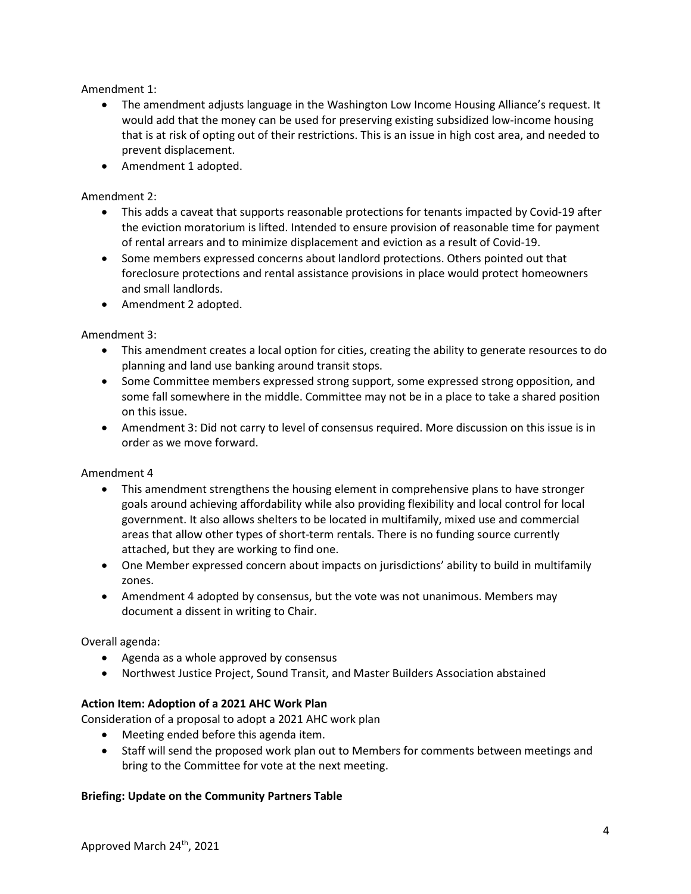Amendment 1:

- The amendment adjusts language in the Washington Low Income Housing Alliance's request. It would add that the money can be used for preserving existing subsidized low-income housing that is at risk of opting out of their restrictions. This is an issue in high cost area, and needed to prevent displacement.
- Amendment 1 adopted.

Amendment 2:

- This adds a caveat that supports reasonable protections for tenants impacted by Covid-19 after the eviction moratorium is lifted. Intended to ensure provision of reasonable time for payment of rental arrears and to minimize displacement and eviction as a result of Covid-19.
- Some members expressed concerns about landlord protections. Others pointed out that foreclosure protections and rental assistance provisions in place would protect homeowners and small landlords.
- Amendment 2 adopted.

Amendment 3:

- This amendment creates a local option for cities, creating the ability to generate resources to do planning and land use banking around transit stops.
- Some Committee members expressed strong support, some expressed strong opposition, and some fall somewhere in the middle. Committee may not be in a place to take a shared position on this issue.
- Amendment 3: Did not carry to level of consensus required. More discussion on this issue is in order as we move forward.

Amendment 4

- This amendment strengthens the housing element in comprehensive plans to have stronger goals around achieving affordability while also providing flexibility and local control for local government. It also allows shelters to be located in multifamily, mixed use and commercial areas that allow other types of short-term rentals. There is no funding source currently attached, but they are working to find one.
- One Member expressed concern about impacts on jurisdictions' ability to build in multifamily zones.
- Amendment 4 adopted by consensus, but the vote was not unanimous. Members may document a dissent in writing to Chair.

Overall agenda:

- Agenda as a whole approved by consensus
- Northwest Justice Project, Sound Transit, and Master Builders Association abstained

## **Action Item: Adoption of a 2021 AHC Work Plan**

Consideration of a proposal to adopt a 2021 AHC work plan

- Meeting ended before this agenda item.
- Staff will send the proposed work plan out to Members for comments between meetings and bring to the Committee for vote at the next meeting.

## **Briefing: Update on the Community Partners Table**